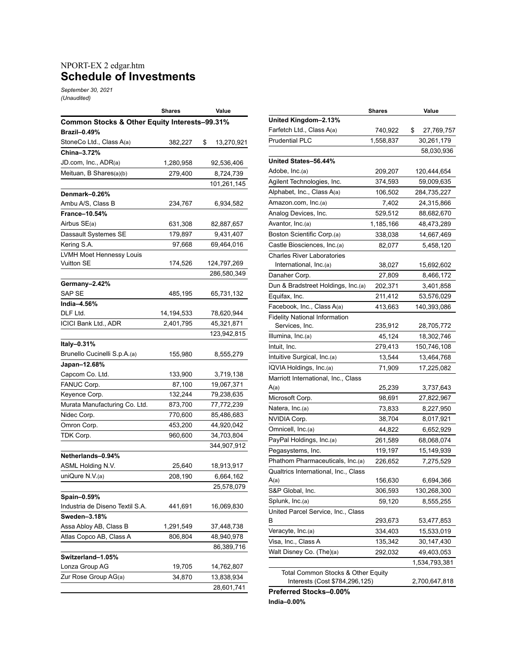## NPORT-EX 2 edgar.htm **Schedule of Investments**

*September 30, 2021 (Unaudited)*

|                                               | Shares     | Value            |  |  |  |  |  |
|-----------------------------------------------|------------|------------------|--|--|--|--|--|
| Common Stocks & Other Equity Interests-99.31% |            |                  |  |  |  |  |  |
| <b>Brazil-0.49%</b>                           |            |                  |  |  |  |  |  |
| StoneCo Ltd., Class A(a)                      | 382,227    | \$<br>13,270,921 |  |  |  |  |  |
| China-3.72%                                   |            |                  |  |  |  |  |  |
| JD.com, Inc., ADR(a)                          | 1,280,958  | 92,536,406       |  |  |  |  |  |
| Meituan, B Shares(a)(b)                       | 279,400    | 8,724,739        |  |  |  |  |  |
|                                               |            | 101,261,145      |  |  |  |  |  |
| Denmark-0.26%                                 |            |                  |  |  |  |  |  |
| Ambu A/S, Class B                             | 234,767    | 6,934,582        |  |  |  |  |  |
| France-10.54%                                 |            |                  |  |  |  |  |  |
| Airbus SE(a)                                  | 631,308    | 82,887,657       |  |  |  |  |  |
| Dassault Systemes SE                          | 179,897    | 9,431,407        |  |  |  |  |  |
| Kering S.A.                                   | 97,668     | 69,464,016       |  |  |  |  |  |
| LVMH Moet Hennessy Louis                      |            |                  |  |  |  |  |  |
| Vuitton SE                                    | 174,526    | 124,797,269      |  |  |  |  |  |
|                                               |            | 286,580,349      |  |  |  |  |  |
| Germany–2.42%                                 |            |                  |  |  |  |  |  |
| SAP SE                                        | 485,195    | 65,731,132       |  |  |  |  |  |
| India-4.56%                                   |            |                  |  |  |  |  |  |
| DLF Ltd.                                      | 14,194,533 | 78,620,944       |  |  |  |  |  |
| ICICI Bank Ltd., ADR                          | 2,401,795  | 45,321,871       |  |  |  |  |  |
|                                               |            | 123,942,815      |  |  |  |  |  |
| Italy-0.31%                                   |            |                  |  |  |  |  |  |
| Brunello Cucinelli S.p.A.(a)                  | 155,980    | 8,555,279        |  |  |  |  |  |
| Japan-12.68%                                  |            |                  |  |  |  |  |  |
| Capcom Co. Ltd.                               | 133,900    | 3,719,138        |  |  |  |  |  |
| FANUC Corp.                                   | 87,100     | 19,067,371       |  |  |  |  |  |
| Keyence Corp.                                 | 132,244    | 79,238,635       |  |  |  |  |  |
| Murata Manufacturing Co. Ltd.                 | 873,700    | 77,772,239       |  |  |  |  |  |
| Nidec Corp.                                   | 770,600    | 85,486,683       |  |  |  |  |  |
| Omron Corp.                                   | 453,200    | 44,920,042       |  |  |  |  |  |
| TDK Corp.                                     | 960,600    | 34,703,804       |  |  |  |  |  |
|                                               |            | 344,907,912      |  |  |  |  |  |
| Netherlands-0.94%                             |            |                  |  |  |  |  |  |
| ASML Holding N.V.                             | 25,640     | 18,913,917       |  |  |  |  |  |
| uniQure N.V.(a)                               | 208,190    | 6,664,162        |  |  |  |  |  |
|                                               |            | 25,578,079       |  |  |  |  |  |
| Spain-0.59%                                   |            |                  |  |  |  |  |  |
| Industria de Diseno Textil S.A.               | 441,691    | 16,069,830       |  |  |  |  |  |
| Sweden-3.18%                                  |            |                  |  |  |  |  |  |
| Assa Abloy AB, Class B                        | 1,291,549  | 37,448,738       |  |  |  |  |  |
| Atlas Copco AB, Class A                       | 806,804    | 48,940,978       |  |  |  |  |  |
|                                               |            | 86,389,716       |  |  |  |  |  |
| Switzerland-1.05%                             |            |                  |  |  |  |  |  |
| Lonza Group AG                                | 19,705     | 14,762,807       |  |  |  |  |  |
| Zur Rose Group AG(a)                          | 34,870     | 13,838,934       |  |  |  |  |  |
|                                               |            | 28,601,741       |  |  |  |  |  |

|                                      | <b>Shares</b> | Value            |
|--------------------------------------|---------------|------------------|
| United Kingdom-2.13%                 |               |                  |
| Farfetch Ltd., Class A(a)            | 740,922       | \$<br>27,769,757 |
| <b>Prudential PLC</b>                | 1,558,837     | 30,261,179       |
|                                      |               | 58,030,936       |
| United States-56.44%                 |               |                  |
| Adobe, Inc.(a)                       | 209,207       | 120,444,654      |
| Agilent Technologies, Inc.           | 374,593       | 59,009,635       |
| Alphabet, Inc., Class A(a)           | 106,502       | 284,735,227      |
| Amazon.com, Inc.(a)                  | 7,402         | 24,315,866       |
| Analog Devices, Inc.                 | 529,512       | 88,682,670       |
| Avantor, Inc.(a)                     | 1,185,166     | 48,473,289       |
| Boston Scientific Corp.(a)           | 338,038       | 14,667,469       |
| Castle Biosciences, Inc.(a)          | 82,077        | 5,458,120        |
| <b>Charles River Laboratories</b>    |               |                  |
| International, Inc.(a)               | 38,027        | 15,692,602       |
| Danaher Corp.                        | 27,809        | 8,466,172        |
| Dun & Bradstreet Holdings, Inc.(a)   | 202,371       | 3,401,858        |
| Equifax, Inc.                        | 211,412       | 53,576,029       |
| Facebook, Inc., Class A(a)           | 413,663       | 140,393,086      |
| <b>Fidelity National Information</b> |               |                  |
| Services, Inc.                       | 235,912       | 28,705,772       |
| Illumina, Inc.(a)                    | 45,124        | 18,302,746       |
| Intuit, Inc.                         | 279,413       | 150,746,108      |
| Intuitive Surgical, Inc.(a)          | 13,544        | 13,464,768       |
| IQVIA Holdings, Inc.(a)              | 71,909        | 17,225,082       |
| Marriott International, Inc., Class  |               |                  |
| A(a)                                 | 25,239        | 3,737,643        |
| Microsoft Corp.                      | 98,691        | 27,822,967       |
| Natera, Inc.(a)                      | 73,833        | 8,227,950        |
| NVIDIA Corp.                         | 38,704        | 8,017,921        |
| Omnicell, Inc.(a)                    | 44,822        | 6,652,929        |
| PayPal Holdings, Inc.(a)             | 261,589       | 68,068,074       |
| Pegasystems, Inc.                    | 119,197       | 15,149,939       |
| Phathom Pharmaceuticals, Inc.(a)     | 226,652       | 7,275,529        |
| Qualtrics International, Inc., Class |               |                  |
| A(a)                                 | 156,630       | 6,694,366        |
| S&P Global, Inc.                     | 306,593       | 130,268,300      |
| Splunk, Inc.(a)                      | 59,120        | 8,555,255        |
| United Parcel Service, Inc., Class   |               |                  |
| В                                    | 293,673       | 53,477,853       |
| Veracyte, Inc.(a)                    | 334,403       | 15,533,019       |
| Visa, Inc., Class A                  | 135,342       | 30,147,430       |
| Walt Disney Co. (The)(a)             | 292,032       | 49,403,053       |
|                                      |               | 1,534,793,381    |
| Total Common Stocks & Other Equity   |               |                  |
| Interests (Cost \$784,296,125)       |               | 2,700,647,818    |

**Preferred Stocks–0.00%**

**India–0.00%**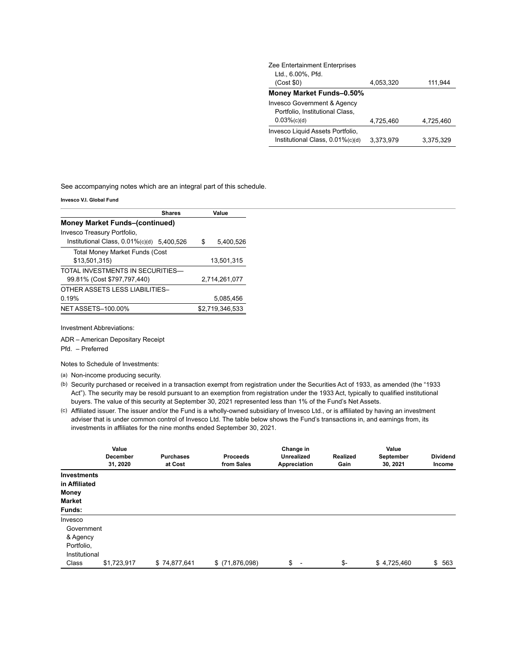| Zee Entertainment Enterprises    |           |           |
|----------------------------------|-----------|-----------|
| Ltd., 6.00%, Pfd.                |           |           |
| (Cost \$0)                       | 4,053,320 | 111,944   |
| Money Market Funds-0.50%         |           |           |
| Invesco Government & Agency      |           |           |
| Portfolio, Institutional Class,  |           |           |
| $0.03%$ (c)(d)                   | 4,725,460 | 4,725,460 |
| Invesco Liquid Assets Portfolio, |           |           |
| Institutional Class, 0.01%(c)(d) | 3.373.979 | 3.375.329 |

See accompanying notes which are an integral part of this schedule.

**Invesco V.I. Global Fund**

| <b>Money Market Funds-(continued)</b><br>Invesco Treasury Portfolio,<br>Institutional Class, 0.01%(c)(d) 5.400.526<br>S<br><b>Total Money Market Funds (Cost</b><br>\$13,501,315)<br>13,501,315<br>TOTAI INVESTMENTS IN SECURITIES-<br>99.81% (Cost \$797,797,440)<br>2,714,261,077 | Value     |  |  |
|-------------------------------------------------------------------------------------------------------------------------------------------------------------------------------------------------------------------------------------------------------------------------------------|-----------|--|--|
|                                                                                                                                                                                                                                                                                     |           |  |  |
|                                                                                                                                                                                                                                                                                     |           |  |  |
|                                                                                                                                                                                                                                                                                     | 5,400,526 |  |  |
|                                                                                                                                                                                                                                                                                     |           |  |  |
|                                                                                                                                                                                                                                                                                     |           |  |  |
|                                                                                                                                                                                                                                                                                     |           |  |  |
|                                                                                                                                                                                                                                                                                     |           |  |  |
| OTHER ASSETS LESS LIABILITIES-                                                                                                                                                                                                                                                      |           |  |  |
| 0.19%<br>5.085.456                                                                                                                                                                                                                                                                  |           |  |  |
| \$2,719,346,533<br><b>NET ASSETS-100.00%</b>                                                                                                                                                                                                                                        |           |  |  |

Investment Abbreviations:

ADR – American Depositary Receipt

Pfd. – Preferred

Notes to Schedule of Investments:

- (a) Non-income producing security.
- (b) Security purchased or received in a transaction exempt from registration under the Securities Act of 1933, as amended (the "1933 Act"). The security may be resold pursuant to an exemption from registration under the 1933 Act, typically to qualified institutional buyers. The value of this security at September 30, 2021 represented less than 1% of the Fund's Net Assets.
- (c) Affiliated issuer. The issuer and/or the Fund is a wholly-owned subsidiary of Invesco Ltd., or is affiliated by having an investment adviser that is under common control of Invesco Ltd. The table below shows the Fund's transactions in, and earnings from, its investments in affiliates for the nine months ended September 30, 2021.

|                    | Value<br><b>December</b><br>31, 2020 | <b>Purchases</b><br>at Cost | <b>Proceeds</b><br>from Sales | Change in<br><b>Unrealized</b><br>Appreciation | Realized<br>Gain | Value<br>September<br>30, 2021 | <b>Dividend</b><br>Income |
|--------------------|--------------------------------------|-----------------------------|-------------------------------|------------------------------------------------|------------------|--------------------------------|---------------------------|
| <b>Investments</b> |                                      |                             |                               |                                                |                  |                                |                           |
| in Affiliated      |                                      |                             |                               |                                                |                  |                                |                           |
| <b>Money</b>       |                                      |                             |                               |                                                |                  |                                |                           |
| <b>Market</b>      |                                      |                             |                               |                                                |                  |                                |                           |
| Funds:             |                                      |                             |                               |                                                |                  |                                |                           |
| Invesco            |                                      |                             |                               |                                                |                  |                                |                           |
| Government         |                                      |                             |                               |                                                |                  |                                |                           |
| & Agency           |                                      |                             |                               |                                                |                  |                                |                           |
| Portfolio,         |                                      |                             |                               |                                                |                  |                                |                           |
| Institutional      |                                      |                             |                               |                                                |                  |                                |                           |
| Class              | \$1,723,917                          | \$74,877,641                | $$$ (71,876,098)              | \$<br>$\overline{\phantom{a}}$                 | \$-              | \$4,725,460                    | \$563                     |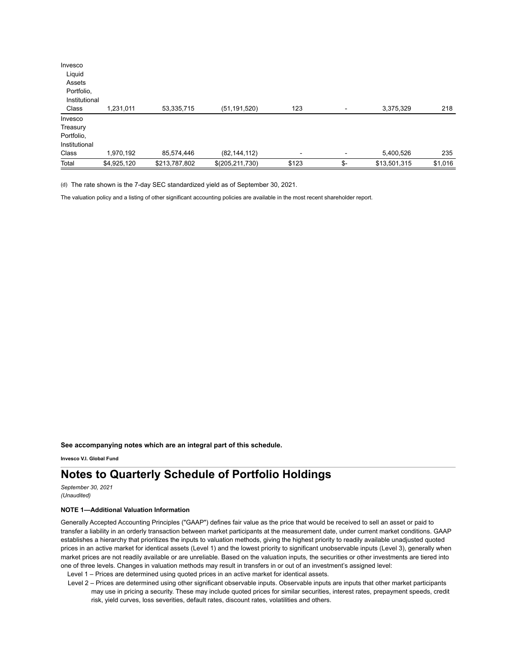| Invesco       |             |               |                 |                          |     |              |         |
|---------------|-------------|---------------|-----------------|--------------------------|-----|--------------|---------|
| Liquid        |             |               |                 |                          |     |              |         |
| Assets        |             |               |                 |                          |     |              |         |
| Portfolio,    |             |               |                 |                          |     |              |         |
| Institutional |             |               |                 |                          |     |              |         |
| Class         | 1,231,011   | 53,335,715    | (51, 191, 520)  | 123                      |     | 3,375,329    | 218     |
| Invesco       |             |               |                 |                          |     |              |         |
| Treasury      |             |               |                 |                          |     |              |         |
| Portfolio,    |             |               |                 |                          |     |              |         |
| Institutional |             |               |                 |                          |     |              |         |
| Class         | 1,970,192   | 85,574,446    | (82, 144, 112)  | $\overline{\phantom{a}}$ |     | 5,400,526    | 235     |
| Total         | \$4,925,120 | \$213,787,802 | \$(205,211,730) | \$123                    | \$- | \$13,501,315 | \$1,016 |

(d) The rate shown is the 7-day SEC standardized yield as of September 30, 2021.

The valuation policy and a listing of other significant accounting policies are available in the most recent shareholder report.

**See accompanying notes which are an integral part of this schedule.**

**Invesco V.I. Global Fund**

## **Notes to Quarterly Schedule of Portfolio Holdings**

*September 30, 2021 (Unaudited)*

## **NOTE 1—Additional Valuation Information**

Generally Accepted Accounting Principles ("GAAP") defines fair value as the price that would be received to sell an asset or paid to transfer a liability in an orderly transaction between market participants at the measurement date, under current market conditions. GAAP establishes a hierarchy that prioritizes the inputs to valuation methods, giving the highest priority to readily available unadjusted quoted prices in an active market for identical assets (Level 1) and the lowest priority to significant unobservable inputs (Level 3), generally when market prices are not readily available or are unreliable. Based on the valuation inputs, the securities or other investments are tiered into one of three levels. Changes in valuation methods may result in transfers in or out of an investment's assigned level:

Level 1 – Prices are determined using quoted prices in an active market for identical assets.

Level 2 – Prices are determined using other significant observable inputs. Observable inputs are inputs that other market participants may use in pricing a security. These may include quoted prices for similar securities, interest rates, prepayment speeds, credit risk, yield curves, loss severities, default rates, discount rates, volatilities and others.